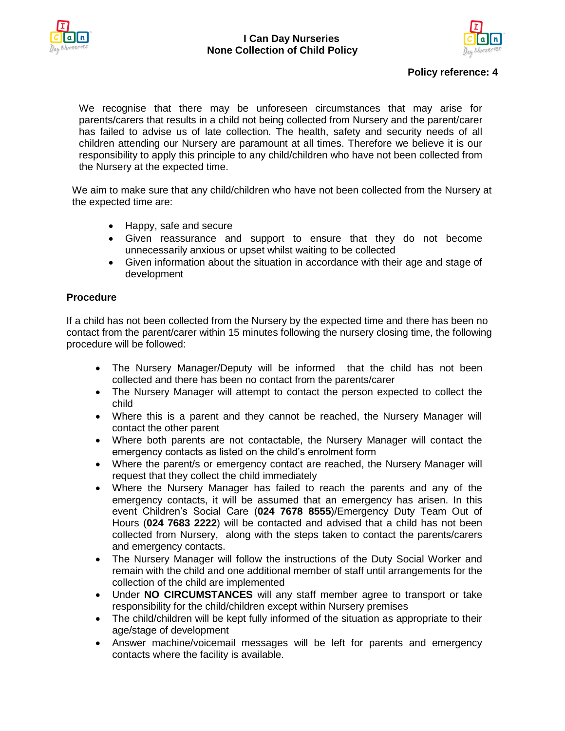



## **Policy reference: 4**

We recognise that there may be unforeseen circumstances that may arise for parents/carers that results in a child not being collected from Nursery and the parent/carer has failed to advise us of late collection. The health, safety and security needs of all children attending our Nursery are paramount at all times. Therefore we believe it is our responsibility to apply this principle to any child/children who have not been collected from the Nursery at the expected time.

We aim to make sure that any child/children who have not been collected from the Nursery at the expected time are:

- Happy, safe and secure
- Given reassurance and support to ensure that they do not become unnecessarily anxious or upset whilst waiting to be collected
- Given information about the situation in accordance with their age and stage of development

## **Procedure**

If a child has not been collected from the Nursery by the expected time and there has been no contact from the parent/carer within 15 minutes following the nursery closing time, the following procedure will be followed:

- The Nursery Manager/Deputy will be informed that the child has not been collected and there has been no contact from the parents/carer
- The Nursery Manager will attempt to contact the person expected to collect the child
- Where this is a parent and they cannot be reached, the Nursery Manager will contact the other parent
- Where both parents are not contactable, the Nursery Manager will contact the emergency contacts as listed on the child's enrolment form
- Where the parent/s or emergency contact are reached, the Nursery Manager will request that they collect the child immediately
- Where the Nursery Manager has failed to reach the parents and any of the emergency contacts, it will be assumed that an emergency has arisen. In this event Children's Social Care (**024 7678 8555**)/Emergency Duty Team Out of Hours (**024 7683 2222**) will be contacted and advised that a child has not been collected from Nursery, along with the steps taken to contact the parents/carers and emergency contacts.
- The Nursery Manager will follow the instructions of the Duty Social Worker and remain with the child and one additional member of staff until arrangements for the collection of the child are implemented
- Under **NO CIRCUMSTANCES** will any staff member agree to transport or take responsibility for the child/children except within Nursery premises
- The child/children will be kept fully informed of the situation as appropriate to their age/stage of development
- Answer machine/voicemail messages will be left for parents and emergency contacts where the facility is available.